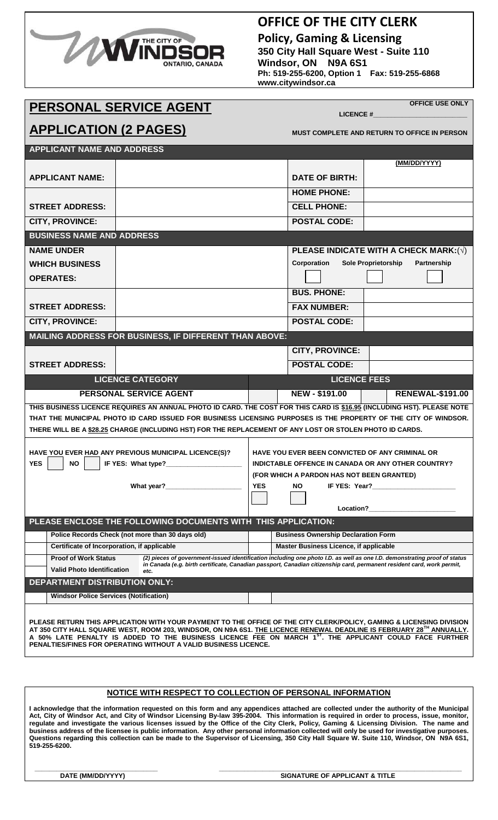

#### **OFFICE OF THE CITY CLERK**

**Policy, Gaming & Licensing 350 City Hall Square West - Suite 110 Windsor, ON N9A 6S1 Ph: 519-255-6200, Option 1 Fax: 519-255-6868 www.citywindsor.ca**

LICENCE #

# **PERSONAL SERVICE AGENT**

**OFFICE USE ONLY**

| <b>APPLICATION (2 PAGES)</b>                                                                                           |                                                                                                                                                                                                                                                          |                                                                                                                                                                                                                                                     | <b>MUST COMPLETE AND RETURN TO OFFICE IN PERSON</b>      |                         |  |  |
|------------------------------------------------------------------------------------------------------------------------|----------------------------------------------------------------------------------------------------------------------------------------------------------------------------------------------------------------------------------------------------------|-----------------------------------------------------------------------------------------------------------------------------------------------------------------------------------------------------------------------------------------------------|----------------------------------------------------------|-------------------------|--|--|
| <b>APPLICANT NAME AND ADDRESS</b>                                                                                      |                                                                                                                                                                                                                                                          |                                                                                                                                                                                                                                                     |                                                          |                         |  |  |
|                                                                                                                        |                                                                                                                                                                                                                                                          |                                                                                                                                                                                                                                                     |                                                          | (MM/DD/YYYY)            |  |  |
| <b>APPLICANT NAME:</b>                                                                                                 |                                                                                                                                                                                                                                                          |                                                                                                                                                                                                                                                     | <b>DATE OF BIRTH:</b>                                    |                         |  |  |
|                                                                                                                        |                                                                                                                                                                                                                                                          |                                                                                                                                                                                                                                                     | <b>HOME PHONE:</b>                                       |                         |  |  |
| <b>STREET ADDRESS:</b>                                                                                                 |                                                                                                                                                                                                                                                          |                                                                                                                                                                                                                                                     | <b>CELL PHONE:</b>                                       |                         |  |  |
| <b>CITY, PROVINCE:</b>                                                                                                 |                                                                                                                                                                                                                                                          |                                                                                                                                                                                                                                                     | <b>POSTAL CODE:</b>                                      |                         |  |  |
| <b>BUSINESS NAME AND ADDRESS</b>                                                                                       |                                                                                                                                                                                                                                                          |                                                                                                                                                                                                                                                     |                                                          |                         |  |  |
| <b>NAME UNDER</b>                                                                                                      |                                                                                                                                                                                                                                                          |                                                                                                                                                                                                                                                     | PLEASE INDICATE WITH A CHECK MARK: $(\sqrt)$             |                         |  |  |
| <b>WHICH BUSINESS</b>                                                                                                  |                                                                                                                                                                                                                                                          |                                                                                                                                                                                                                                                     | Corporation<br><b>Sole Proprietorship</b><br>Partnership |                         |  |  |
| <b>OPERATES:</b>                                                                                                       |                                                                                                                                                                                                                                                          |                                                                                                                                                                                                                                                     |                                                          |                         |  |  |
|                                                                                                                        |                                                                                                                                                                                                                                                          |                                                                                                                                                                                                                                                     | <b>BUS, PHONE:</b>                                       |                         |  |  |
| <b>STREET ADDRESS:</b>                                                                                                 |                                                                                                                                                                                                                                                          |                                                                                                                                                                                                                                                     | <b>FAX NUMBER:</b>                                       |                         |  |  |
| <b>CITY, PROVINCE:</b>                                                                                                 |                                                                                                                                                                                                                                                          | <b>POSTAL CODE:</b>                                                                                                                                                                                                                                 |                                                          |                         |  |  |
| MAILING ADDRESS FOR BUSINESS, IF DIFFERENT THAN ABOVE:                                                                 |                                                                                                                                                                                                                                                          |                                                                                                                                                                                                                                                     |                                                          |                         |  |  |
| <b>STREET ADDRESS:</b>                                                                                                 |                                                                                                                                                                                                                                                          |                                                                                                                                                                                                                                                     | <b>CITY, PROVINCE:</b>                                   |                         |  |  |
|                                                                                                                        |                                                                                                                                                                                                                                                          |                                                                                                                                                                                                                                                     | <b>POSTAL CODE:</b>                                      |                         |  |  |
| <b>LICENCE CATEGORY</b>                                                                                                |                                                                                                                                                                                                                                                          | <b>LICENCE FEES</b>                                                                                                                                                                                                                                 |                                                          |                         |  |  |
| <b>PERSONAL SERVICE AGENT</b>                                                                                          |                                                                                                                                                                                                                                                          |                                                                                                                                                                                                                                                     | NEW - \$191.00                                           | <b>RENEWAL-\$191.00</b> |  |  |
| THIS BUSINESS LICENCE REQUIRES AN ANNUAL PHOTO ID CARD. THE COST FOR THIS CARD IS \$16.95 (INCLUDING HST). PLEASE NOTE |                                                                                                                                                                                                                                                          |                                                                                                                                                                                                                                                     |                                                          |                         |  |  |
|                                                                                                                        | THAT THE MUNICIPAL PHOTO ID CARD ISSUED FOR BUSINESS LICENSING PURPOSES IS THE PROPERTY OF THE CITY OF WINDSOR.                                                                                                                                          |                                                                                                                                                                                                                                                     |                                                          |                         |  |  |
|                                                                                                                        | THERE WILL BE A \$28.25 CHARGE (INCLUDING HST) FOR THE REPLACEMENT OF ANY LOST OR STOLEN PHOTO ID CARDS.                                                                                                                                                 |                                                                                                                                                                                                                                                     |                                                          |                         |  |  |
| HAVE YOU EVER HAD ANY PREVIOUS MUNICIPAL LICENCE(S)?                                                                   |                                                                                                                                                                                                                                                          |                                                                                                                                                                                                                                                     | <b>HAVE YOU EVER BEEN CONVICTED OF ANY CRIMINAL OR</b>   |                         |  |  |
| <b>YES</b><br><b>NO</b><br>IF YES: What type?                                                                          |                                                                                                                                                                                                                                                          | <b>INDICTABLE OFFENCE IN CANADA OR ANY OTHER COUNTRY?</b>                                                                                                                                                                                           |                                                          |                         |  |  |
|                                                                                                                        |                                                                                                                                                                                                                                                          | (FOR WHICH A PARDON HAS NOT BEEN GRANTED)                                                                                                                                                                                                           |                                                          |                         |  |  |
| What year?                                                                                                             |                                                                                                                                                                                                                                                          | YES<br>NO IF YES: Year?                                                                                                                                                                                                                             |                                                          |                         |  |  |
|                                                                                                                        |                                                                                                                                                                                                                                                          | Location?                                                                                                                                                                                                                                           |                                                          |                         |  |  |
|                                                                                                                        | PLEASE ENCLOSE THE FOLLOWING DOCUMENTS WITH THIS APPLICATION:                                                                                                                                                                                            |                                                                                                                                                                                                                                                     |                                                          |                         |  |  |
| Police Records Check (not more than 30 days old)                                                                       |                                                                                                                                                                                                                                                          | <b>Business Ownership Declaration Form</b>                                                                                                                                                                                                          |                                                          |                         |  |  |
| Certificate of Incorporation, if applicable                                                                            |                                                                                                                                                                                                                                                          | Master Business Licence, if applicable                                                                                                                                                                                                              |                                                          |                         |  |  |
| <b>Proof of Work Status</b>                                                                                            |                                                                                                                                                                                                                                                          | (2) pieces of government-issued identification including one photo I.D. as well as one I.D. demonstrating proof of status<br>in Canada (e.g. birth certificate, Canadian passport, Canadian citizenship card, permanent resident card, work permit, |                                                          |                         |  |  |
| <b>Valid Photo Identification</b>                                                                                      | etc.                                                                                                                                                                                                                                                     |                                                                                                                                                                                                                                                     |                                                          |                         |  |  |
| <b>DEPARTMENT DISTRIBUTION ONLY:</b>                                                                                   |                                                                                                                                                                                                                                                          |                                                                                                                                                                                                                                                     |                                                          |                         |  |  |
| <b>Windsor Police Services (Notification)</b>                                                                          |                                                                                                                                                                                                                                                          |                                                                                                                                                                                                                                                     |                                                          |                         |  |  |
|                                                                                                                        | PLEASE RETURN THIS APPLICATION WITH YOUR PAYMENT TO THE OFFICE OF THE CITY CLERK/POLICY, GAMING & LICENSING DIVISION<br>AT 350 CITY HALL SQUARE WEST, ROOM 203, WINDSOR, ON N9A 6S1. THE LICENCE RENEWAL DEADLINE IS FEBRUARY 28 <sup>TH</sup> ANNUALLY. |                                                                                                                                                                                                                                                     |                                                          |                         |  |  |

#### **NOTICE WITH RESPECT TO COLLECTION OF PERSONAL INFORMATION**

**A 50% LATE PENALTY IS ADDED TO THE BUSINESS LICENCE FEE ON MARCH 1ST. THE APPLICANT COULD FACE FURTHER** 

**I acknowledge that the information requested on this form and any appendices attached are collected under the authority of the Municipal Act, City of Windsor Act, and City of Windsor Licensing By-law 395-2004. This information is required in order to process, issue, monitor, regulate and investigate the various licenses issued by the Office of the City Clerk, Policy, Gaming & Licensing Division. The name and business address of the licensee is public information. Any other personal information collected will only be used for investigative purposes. Questions regarding this collection can be made to the Supervisor of Licensing, 350 City Hall Square W. Suite 110, Windsor, ON N9A 6S1, 519-255-6200.**

 **\_\_\_\_\_\_\_\_\_\_\_\_\_\_\_\_\_\_\_\_\_\_\_\_\_\_\_\_\_\_\_\_\_\_ \_\_\_\_\_\_\_\_\_\_\_\_\_\_\_\_\_\_\_\_\_\_\_\_\_\_\_\_\_\_\_\_\_\_\_\_\_\_\_\_\_\_\_\_\_\_\_\_\_\_\_\_\_\_\_\_\_\_\_\_\_\_\_\_\_\_\_**

**PENALTIES/FINES FOR OPERATING WITHOUT A VALID BUSINESS LICENCE.**